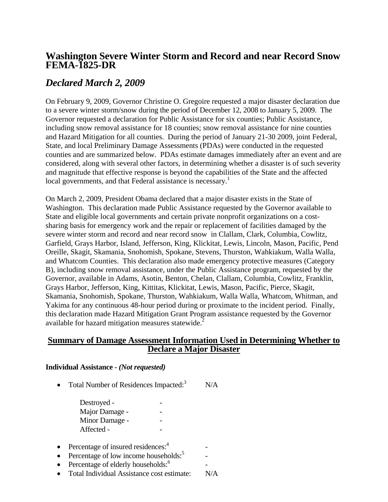## **Washington Severe Winter Storm and Record and near Record Snow FEMA-1825-DR**

# *Declared March 2, 2009*

On February 9, 2009, Governor Christine O. Gregoire requested a major disaster declaration due to a severe winter storm/snow during the period of December 12, 2008 to January 5, 2009. The Governor requested a declaration for Public Assistance for six counties; Public Assistance, including snow removal assistance for 18 counties; snow removal assistance for nine counties and Hazard Mitigation for all counties. During the period of January 21-30 2009, joint Federal, State, and local Preliminary Damage Assessments (PDAs) were conducted in the requested counties and are summarized below. PDAs estimate damages immediately after an event and are considered, along with several other factors, in determining whether a disaster is of such severity and magnitude that effective response is beyond the capabilities of the State and the affected local governments, and that Federal assistance is necessary.<sup>1</sup>

On March 2, 2009, President Obama declared that a major disaster exists in the State of Washington. This declaration made Public Assistance requested by the Governor available to State and eligible local governments and certain private nonprofit organizations on a costsharing basis for emergency work and the repair or replacement of facilities damaged by the severe winter storm and record and near record snow in Clallam, Clark, Columbia, Cowlitz, Garfield, Grays Harbor, Island, Jefferson, King, Klickitat, Lewis, Lincoln, Mason, Pacific, Pend Oreille, Skagit, Skamania, Snohomish, Spokane, Stevens, Thurston, Wahkiakum, Walla Walla, and Whatcom Counties. This declaration also made emergency protective measures (Category B), including snow removal assistance, under the Public Assistance program, requested by the Governor, available in Adams, Asotin, Benton, Chelan, Clallam, Columbia, Cowlitz, Franklin, Grays Harbor, Jefferson, King, Kittitas, Klickitat, Lewis, Mason, Pacific, Pierce, Skagit, Skamania, Snohomish, Spokane, Thurston, Wahkiakum, Walla Walla, Whatcom, Whitman, and Yakima for any continuous 48-hour period during or proximate to the incident period. Finally, this declaration made Hazard Mitigation Grant Program assistance requested by the Governor available for hazard mitigation measures statewide.<sup>2</sup>

### **Summary of Damage Assessment Information Used in Determining Whether to Declare a Major Disaster**

#### **Individual Assistance -** *(Not requested)*

• Total Number of Residences Impacted: $\frac{3}{10}$  N/A

Destroyed -Major Damage - - Minor Damage - - Affected -

- Percentage of insured residences: $4$
- Percentage of low income households: $5$
- Percentage of elderly households: $<sup>6</sup>$ </sup>
- Total Individual Assistance cost estimate: N/A